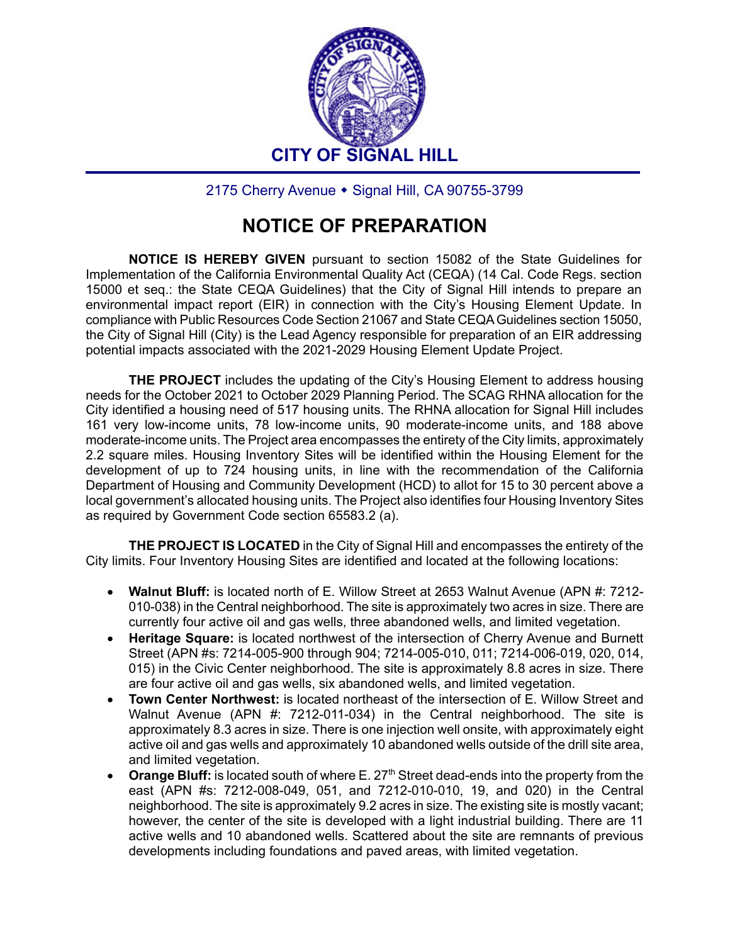

2175 Cherry Avenue • Signal Hill, CA 90755-3799

## **NOTICE OF PREPARATION**

**NOTICE IS HEREBY GIVEN** pursuant to section 15082 of the State Guidelines for Implementation of the California Environmental Quality Act (CEQA) (14 Cal. Code Regs. section 15000 et seq.: the State CEQA Guidelines) that the City of Signal Hill intends to prepare an environmental impact report (EIR) in connection with the City's Housing Element Update. In compliance with Public Resources Code Section 21067 and State CEQA Guidelines section 15050, the City of Signal Hill (City) is the Lead Agency responsible for preparation of an EIR addressing potential impacts associated with the 2021-2029 Housing Element Update Project.

**THE PROJECT** includes the updating of the City's Housing Element to address housing needs for the October 2021 to October 2029 Planning Period. The SCAG RHNA allocation for the City identified a housing need of 517 housing units. The RHNA allocation for Signal Hill includes 161 very low-income units, 78 low-income units, 90 moderate-income units, and 188 above moderate-income units. The Project area encompasses the entirety of the City limits, approximately 2.2 square miles. Housing Inventory Sites will be identified within the Housing Element for the development of up to 724 housing units, in line with the recommendation of the California Department of Housing and Community Development (HCD) to allot for 15 to 30 percent above a local government's allocated housing units. The Project also identifies four Housing Inventory Sites as required by Government Code section 65583.2 (a).

**THE PROJECT IS LOCATED** in the City of Signal Hill and encompasses the entirety of the City limits. Four Inventory Housing Sites are identified and located at the following locations:

- **Walnut Bluff:** is located north of E. Willow Street at 2653 Walnut Avenue (APN #: 7212- 010-038) in the Central neighborhood. The site is approximately two acres in size. There are currently four active oil and gas wells, three abandoned wells, and limited vegetation.
- **Heritage Square:** is located northwest of the intersection of Cherry Avenue and Burnett Street (APN #s: 7214-005-900 through 904; 7214-005-010, 011; 7214-006-019, 020, 014, 015) in the Civic Center neighborhood. The site is approximately 8.8 acres in size. There are four active oil and gas wells, six abandoned wells, and limited vegetation.
- **Town Center Northwest:** is located northeast of the intersection of E. Willow Street and Walnut Avenue (APN #: 7212-011-034) in the Central neighborhood. The site is approximately 8.3 acres in size. There is one injection well onsite, with approximately eight active oil and gas wells and approximately 10 abandoned wells outside of the drill site area, and limited vegetation.
- **Orange Bluff:** is located south of where E. 27<sup>th</sup> Street dead-ends into the property from the east (APN #s: 7212-008-049, 051, and 7212-010-010, 19, and 020) in the Central neighborhood. The site is approximately 9.2 acres in size. The existing site is mostly vacant; however, the center of the site is developed with a light industrial building. There are 11 active wells and 10 abandoned wells. Scattered about the site are remnants of previous developments including foundations and paved areas, with limited vegetation.